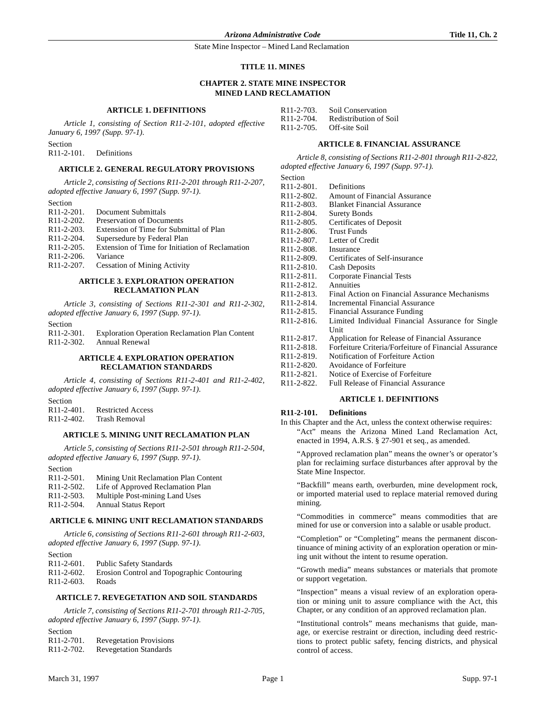#### **TITLE 11. MINES**

## **CHAPTER 2. STATE MINE INSPECTOR MINED LAND RECLAMATION**

## **ARTICLE 1. DEFINITIONS**

*Article 1, consisting of Section R11-2-101, adopted effective January 6, 1997 (Supp. 97-1).*

Section

R11-2-101. Definitions

## **ARTICLE 2. GENERAL REGULATORY PROVISIONS**

*Article 2, consisting of Sections R11-2-201 through R11-2-207, adopted effective January 6, 1997 (Supp. 97-1).*

Section

- R11-2-201. Document Submittals<br>R11-2-202. Preservation of Docum **Preservation of Documents** R11-2-203. Extension of Time for Submittal of Plan<br>R11-2-204. Supersedure by Federal Plan Supersedure by Federal Plan
- R11-2-205. Extension of Time for Initiation of Reclamation
- 
- R11-2-206. Variance<br>R11-2-207. Cessation
- **Cessation of Mining Activity**

### **ARTICLE 3. EXPLORATION OPERATION RECLAMATION PLAN**

*Article 3, consisting of Sections R11-2-301 and R11-2-302, adopted effective January 6, 1997 (Supp. 97-1).*

Section<br> $R11-2-301$ . Exploration Operation Reclamation Plan Content R11-2-302. Annual Renewal

#### **ARTICLE 4. EXPLORATION OPERATION RECLAMATION STANDARDS**

*Article 4, consisting of Sections R11-2-401 and R11-2-402, adopted effective January 6, 1997 (Supp. 97-1).*

Section

R11-2-401. Restricted Access<br>R11-2-402. Trash Removal Trash Removal

### **ARTICLE 5. MINING UNIT RECLAMATION PLAN**

*Article 5, consisting of Sections R11-2-501 through R11-2-504, adopted effective January 6, 1997 (Supp. 97-1).*

Section

| $R11-2-501$ .           | Mining Unit Reclamation Plan Content |
|-------------------------|--------------------------------------|
| R <sub>11</sub> -2-502. | Life of Approved Reclamation Plan    |
| $R11-2-503$ .           | Multiple Post-mining Land Uses       |
| R <sub>11</sub> -2-504. | <b>Annual Status Report</b>          |

# **ARTICLE 6. MINING UNIT RECLAMATION STANDARDS**

*Article 6, consisting of Sections R11-2-601 through R11-2-603, adopted effective January 6, 1997 (Supp. 97-1).*

- Section
- R11-2-601. Public Safety Standards
- R11-2-602. Erosion Control and Topographic Contouring
- R11-2-603. Roads

## **ARTICLE 7. REVEGETATION AND SOIL STANDARDS**

*Article 7, consisting of Sections R11-2-701 through R11-2-705, adopted effective January 6, 1997 (Supp. 97-1).*

| Section                 |                                |
|-------------------------|--------------------------------|
| R <sub>11</sub> -2-701. | <b>Revegetation Provisions</b> |
| R <sub>11</sub> -2-702. | <b>Revegetation Standards</b>  |

| R11-2-703. | Soil Conservation      |
|------------|------------------------|
| R11-2-704. | Redistribution of Soil |
| R11-2-705. | Off-site Soil          |

#### **ARTICLE 8. FINANCIAL ASSURANCE**

*Article 8, consisting of Sections R11-2-801 through R11-2-822, adopted effective January 6, 1997 (Supp. 97-1).*

| R <sub>11</sub> -2-801.              | Definitions                                           |
|--------------------------------------|-------------------------------------------------------|
| R11-2-802.                           | <b>Amount of Financial Assurance</b>                  |
| R <sub>11</sub> -2-803.              | <b>Blanket Financial Assurance</b>                    |
| R11-2-804.                           | <b>Surety Bonds</b>                                   |
| R <sub>11</sub> -2-805.              | Certificates of Deposit                               |
| R <sub>11</sub> -2-806.              | <b>Trust Funds</b>                                    |
| R <sub>11</sub> -2-807.              | Letter of Credit                                      |
| R <sub>11</sub> -2-808.              | Insurance                                             |
| R <sub>11</sub> -2-809.              | Certificates of Self-insurance                        |
| R <sub>11</sub> -2-8 <sub>10</sub> . | <b>Cash Deposits</b>                                  |
| R <sub>11</sub> -2-8 <sub>11</sub> . | <b>Corporate Financial Tests</b>                      |
| R <sub>11</sub> -2-8 <sub>12</sub> . | Annuities                                             |
| R <sub>11</sub> -2-8 <sub>13</sub> . | Final Action on Financial Assurance Mechanisms        |
| R <sub>11</sub> -2-8 <sub>14</sub> . | Incremental Financial Assurance                       |
| R <sub>11</sub> -2-8 <sub>15</sub> . | Financial Assurance Funding                           |
| R <sub>11</sub> -2-8 <sub>16</sub> . | Limited Individual Financial Assurance for Single     |
|                                      | Unit                                                  |
| R <sub>11</sub> -2-8 <sub>17</sub> . | Application for Release of Financial Assurance        |
| R <sub>11</sub> -2-8 <sub>18</sub> . | Forfeiture Criteria/Forfeiture of Financial Assurance |
| R <sub>11</sub> -2-8 <sub>19</sub> . | Notification of Forfeiture Action                     |
| R <sub>11</sub> -2-820.              | Avoidance of Forfeiture                               |
| R <sub>11</sub> -2-821.              | Notice of Exercise of Forfeiture                      |
| <b>D</b> 11 2 922                    | Eull Polonse of Financial Assurance                   |

R11-2-822. Full Release of Financial Assurance

## **ARTICLE 1. DEFINITIONS**

## **R11-2-101. Definitions**

In this Chapter and the Act, unless the context otherwise requires: "Act" means the Arizona Mined Land Reclamation Act, enacted in 1994, A.R.S. § 27-901 et seq., as amended.

"Approved reclamation plan" means the owner's or operator's plan for reclaiming surface disturbances after approval by the State Mine Inspector.

"Backfill" means earth, overburden, mine development rock, or imported material used to replace material removed during mining.

"Commodities in commerce" means commodities that are mined for use or conversion into a salable or usable product.

"Completion" or "Completing" means the permanent discontinuance of mining activity of an exploration operation or mining unit without the intent to resume operation.

"Growth media" means substances or materials that promote or support vegetation.

"Inspection" means a visual review of an exploration operation or mining unit to assure compliance with the Act, this Chapter, or any condition of an approved reclamation plan.

"Institutional controls" means mechanisms that guide, manage, or exercise restraint or direction, including deed restrictions to protect public safety, fencing districts, and physical control of access.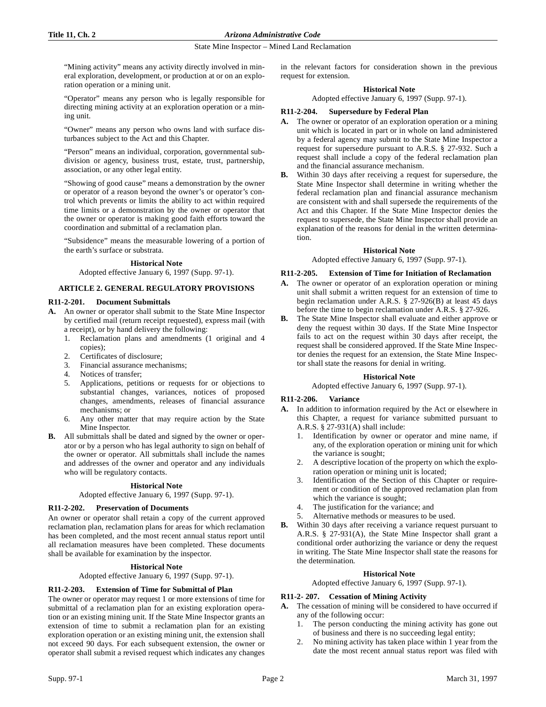## **Title 11, Ch. 2** *Arizona Administrative Code*

#### State Mine Inspector – Mined Land Reclamation

"Mining activity" means any activity directly involved in mineral exploration, development, or production at or on an exploration operation or a mining unit.

"Operator" means any person who is legally responsible for directing mining activity at an exploration operation or a mining unit.

"Owner" means any person who owns land with surface disturbances subject to the Act and this Chapter.

"Person" means an individual, corporation, governmental subdivision or agency, business trust, estate, trust, partnership, association, or any other legal entity.

"Showing of good cause" means a demonstration by the owner or operator of a reason beyond the owner's or operator's control which prevents or limits the ability to act within required time limits or a demonstration by the owner or operator that the owner or operator is making good faith efforts toward the coordination and submittal of a reclamation plan.

"Subsidence" means the measurable lowering of a portion of the earth's surface or substrata.

## **Historical Note**

Adopted effective January 6, 1997 (Supp. 97-1).

## **ARTICLE 2. GENERAL REGULATORY PROVISIONS**

## **R11-2-201. Document Submittals**

- **A.** An owner or operator shall submit to the State Mine Inspector by certified mail (return receipt requested), express mail (with a receipt), or by hand delivery the following:
	- 1. Reclamation plans and amendments (1 original and 4 copies);
	- 2. Certificates of disclosure;
	- 3. Financial assurance mechanisms;
	- 4. Notices of transfer;
	- 5. Applications, petitions or requests for or objections to substantial changes, variances, notices of proposed changes, amendments, releases of financial assurance mechanisms; or
	- 6. Any other matter that may require action by the State Mine Inspector.
- **B.** All submittals shall be dated and signed by the owner or operator or by a person who has legal authority to sign on behalf of the owner or operator. All submittals shall include the names and addresses of the owner and operator and any individuals who will be regulatory contacts.

## **Historical Note**

Adopted effective January 6, 1997 (Supp. 97-1).

## **R11-2-202. Preservation of Documents**

An owner or operator shall retain a copy of the current approved reclamation plan, reclamation plans for areas for which reclamation has been completed, and the most recent annual status report until all reclamation measures have been completed. These documents shall be available for examination by the inspector.

## **Historical Note**

Adopted effective January 6, 1997 (Supp. 97-1).

## **R11-2-203. Extension of Time for Submittal of Plan**

The owner or operator may request 1 or more extensions of time for submittal of a reclamation plan for an existing exploration operation or an existing mining unit. If the State Mine Inspector grants an extension of time to submit a reclamation plan for an existing exploration operation or an existing mining unit, the extension shall not exceed 90 days. For each subsequent extension, the owner or operator shall submit a revised request which indicates any changes

in the relevant factors for consideration shown in the previous request for extension.

#### **Historical Note**

Adopted effective January 6, 1997 (Supp. 97-1).

#### **R11-2-204. Supersedure by Federal Plan**

- **A.** The owner or operator of an exploration operation or a mining unit which is located in part or in whole on land administered by a federal agency may submit to the State Mine Inspector a request for supersedure pursuant to A.R.S. § 27-932. Such a request shall include a copy of the federal reclamation plan and the financial assurance mechanism.
- **B.** Within 30 days after receiving a request for supersedure, the State Mine Inspector shall determine in writing whether the federal reclamation plan and financial assurance mechanism are consistent with and shall supersede the requirements of the Act and this Chapter. If the State Mine Inspector denies the request to supersede, the State Mine Inspector shall provide an explanation of the reasons for denial in the written determination.

#### **Historical Note**

Adopted effective January 6, 1997 (Supp. 97-1).

## **R11-2-205. Extension of Time for Initiation of Reclamation**

- **A.** The owner or operator of an exploration operation or mining unit shall submit a written request for an extension of time to begin reclamation under A.R.S. § 27-926(B) at least 45 days before the time to begin reclamation under A.R.S. § 27-926.
- **B.** The State Mine Inspector shall evaluate and either approve or deny the request within 30 days. If the State Mine Inspector fails to act on the request within 30 days after receipt, the request shall be considered approved. If the State Mine Inspector denies the request for an extension, the State Mine Inspector shall state the reasons for denial in writing.

## **Historical Note**

Adopted effective January 6, 1997 (Supp. 97-1).

# **R11-2-206. Variance**

- **A.** In addition to information required by the Act or elsewhere in this Chapter, a request for variance submitted pursuant to A.R.S. § 27-931(A) shall include:
	- 1. Identification by owner or operator and mine name, if any, of the exploration operation or mining unit for which the variance is sought;
	- 2. A descriptive location of the property on which the exploration operation or mining unit is located;
	- 3. Identification of the Section of this Chapter or requirement or condition of the approved reclamation plan from which the variance is sought;
	- 4. The justification for the variance; and
	- 5. Alternative methods or measures to be used.
- **B.** Within 30 days after receiving a variance request pursuant to A.R.S. § 27-931(A), the State Mine Inspector shall grant a conditional order authorizing the variance or deny the request in writing. The State Mine Inspector shall state the reasons for the determination.

#### **Historical Note**

Adopted effective January 6, 1997 (Supp. 97-1).

## **R11-2- 207. Cessation of Mining Activity**

- **A.** The cessation of mining will be considered to have occurred if any of the following occur:
	- 1. The person conducting the mining activity has gone out of business and there is no succeeding legal entity;
	- 2. No mining activity has taken place within 1 year from the date the most recent annual status report was filed with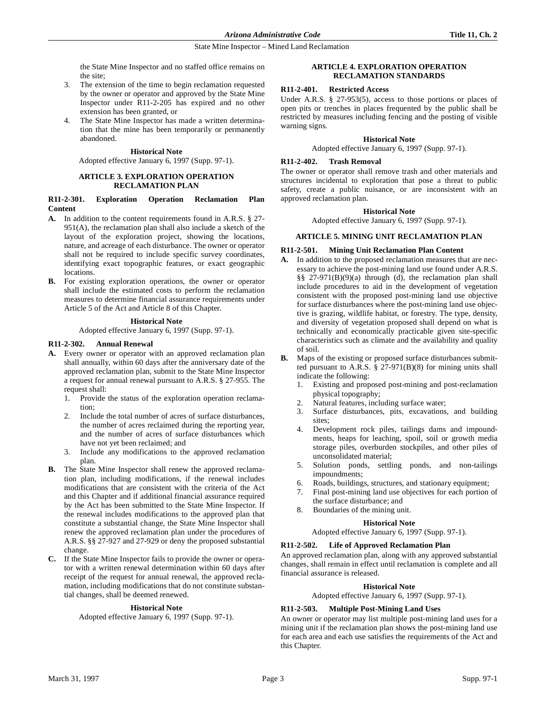the State Mine Inspector and no staffed office remains on the site;

- 3. The extension of the time to begin reclamation requested by the owner or operator and approved by the State Mine Inspector under R11-2-205 has expired and no other extension has been granted, or
- The State Mine Inspector has made a written determination that the mine has been temporarily or permanently abandoned.

#### **Historical Note**

Adopted effective January 6, 1997 (Supp. 97-1).

#### **ARTICLE 3. EXPLORATION OPERATION RECLAMATION PLAN**

## **R11-2-301. Exploration Operation Reclamation Plan Content**

- **A.** In addition to the content requirements found in A.R.S. § 27- 951(A), the reclamation plan shall also include a sketch of the layout of the exploration project, showing the locations, nature, and acreage of each disturbance. The owner or operator shall not be required to include specific survey coordinates, identifying exact topographic features, or exact geographic locations.
- **B.** For existing exploration operations, the owner or operator shall include the estimated costs to perform the reclamation measures to determine financial assurance requirements under Article 5 of the Act and Article 8 of this Chapter.

## **Historical Note**

Adopted effective January 6, 1997 (Supp. 97-1).

## **R11-2-302. Annual Renewal**

- **A.** Every owner or operator with an approved reclamation plan shall annually, within 60 days after the anniversary date of the approved reclamation plan, submit to the State Mine Inspector a request for annual renewal pursuant to A.R.S. § 27-955. The request shall:
	- 1. Provide the status of the exploration operation reclamation;
	- 2. Include the total number of acres of surface disturbances, the number of acres reclaimed during the reporting year, and the number of acres of surface disturbances which have not yet been reclaimed; and
	- 3. Include any modifications to the approved reclamation plan.
- **B.** The State Mine Inspector shall renew the approved reclamation plan, including modifications, if the renewal includes modifications that are consistent with the criteria of the Act and this Chapter and if additional financial assurance required by the Act has been submitted to the State Mine Inspector. If the renewal includes modifications to the approved plan that constitute a substantial change, the State Mine Inspector shall renew the approved reclamation plan under the procedures of A.R.S. §§ 27-927 and 27-929 or deny the proposed substantial change.
- **C.** If the State Mine Inspector fails to provide the owner or operator with a written renewal determination within 60 days after receipt of the request for annual renewal, the approved reclamation, including modifications that do not constitute substantial changes, shall be deemed renewed.

## **Historical Note**

Adopted effective January 6, 1997 (Supp. 97-1).

## **ARTICLE 4. EXPLORATION OPERATION RECLAMATION STANDARDS**

## **R11-2-401. Restricted Access**

Under A.R.S. § 27-953(5), access to those portions or places of open pits or trenches in places frequented by the public shall be restricted by measures including fencing and the posting of visible warning signs.

## **Historical Note**

Adopted effective January 6, 1997 (Supp. 97-1).

## **R11-2-402. Trash Removal**

The owner or operator shall remove trash and other materials and structures incidental to exploration that pose a threat to public safety, create a public nuisance, or are inconsistent with an approved reclamation plan.

## **Historical Note**

Adopted effective January 6, 1997 (Supp. 97-1).

## **ARTICLE 5. MINING UNIT RECLAMATION PLAN**

## **R11-2-501. Mining Unit Reclamation Plan Content**

- **A.** In addition to the proposed reclamation measures that are necessary to achieve the post-mining land use found under A.R.S. §§ 27-971(B)(9)(a) through (d), the reclamation plan shall include procedures to aid in the development of vegetation consistent with the proposed post-mining land use objective for surface disturbances where the post-mining land use objective is grazing, wildlife habitat, or forestry. The type, density, and diversity of vegetation proposed shall depend on what is technically and economically practicable given site-specific characteristics such as climate and the availability and quality of soil.
- **B.** Maps of the existing or proposed surface disturbances submitted pursuant to A.R.S. § 27-971(B)(8) for mining units shall indicate the following:
	- 1. Existing and proposed post-mining and post-reclamation physical topography;
	- 2. Natural features, including surface water;
	- 3. Surface disturbances, pits, excavations, and building sites;
	- Development rock piles, tailings dams and impoundments, heaps for leaching, spoil, soil or growth media storage piles, overburden stockpiles, and other piles of unconsolidated material;
	- 5. Solution ponds, settling ponds, and non-tailings impoundments;
	- 6. Roads, buildings, structures, and stationary equipment;
	- 7. Final post-mining land use objectives for each portion of the surface disturbance; and
	- 8. Boundaries of the mining unit.

## **Historical Note**

Adopted effective January 6, 1997 (Supp. 97-1).

## **R11-2-502. Life of Approved Reclamation Plan**

An approved reclamation plan, along with any approved substantial changes, shall remain in effect until reclamation is complete and all financial assurance is released.

## **Historical Note**

Adopted effective January 6, 1997 (Supp. 97-1).

# **R11-2-503. Multiple Post-Mining Land Uses**

An owner or operator may list multiple post-mining land uses for a mining unit if the reclamation plan shows the post-mining land use for each area and each use satisfies the requirements of the Act and this Chapter.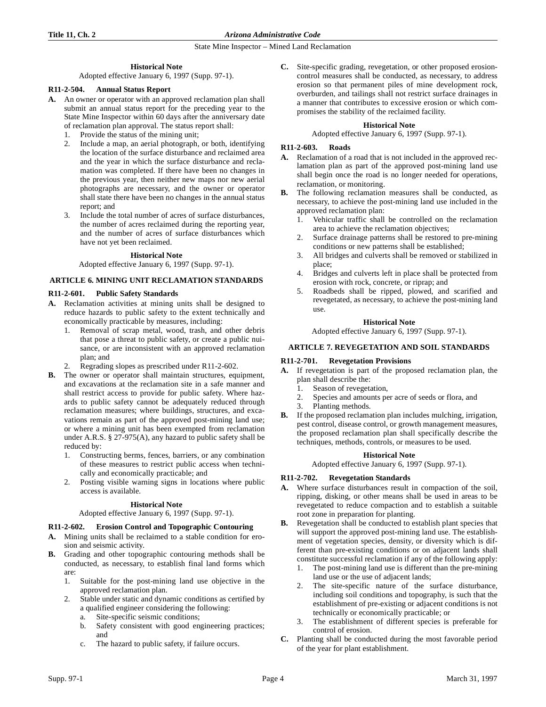## **Title 11, Ch. 2** *Arizona Administrative Code*

State Mine Inspector – Mined Land Reclamation

## **Historical Note**

Adopted effective January 6, 1997 (Supp. 97-1).

## **R11-2-504. Annual Status Report**

- **A.** An owner or operator with an approved reclamation plan shall submit an annual status report for the preceding year to the State Mine Inspector within 60 days after the anniversary date of reclamation plan approval. The status report shall:
	- 1. Provide the status of the mining unit;
	- 2. Include a map, an aerial photograph, or both, identifying the location of the surface disturbance and reclaimed area and the year in which the surface disturbance and reclamation was completed. If there have been no changes in the previous year, then neither new maps nor new aerial photographs are necessary, and the owner or operator shall state there have been no changes in the annual status report; and
	- 3. Include the total number of acres of surface disturbances, the number of acres reclaimed during the reporting year, and the number of acres of surface disturbances which have not yet been reclaimed.

## **Historical Note**

Adopted effective January 6, 1997 (Supp. 97-1).

## **ARTICLE 6. MINING UNIT RECLAMATION STANDARDS**

## **R11-2-601. Public Safety Standards**

- **A.** Reclamation activities at mining units shall be designed to reduce hazards to public safety to the extent technically and economically practicable by measures, including:
	- 1. Removal of scrap metal, wood, trash, and other debris that pose a threat to public safety, or create a public nuisance, or are inconsistent with an approved reclamation plan; and
	- 2. Regrading slopes as prescribed under R11-2-602.
- **B.** The owner or operator shall maintain structures, equipment, and excavations at the reclamation site in a safe manner and shall restrict access to provide for public safety. Where hazards to public safety cannot be adequately reduced through reclamation measures; where buildings, structures, and excavations remain as part of the approved post-mining land use; or where a mining unit has been exempted from reclamation under A.R.S. § 27-975(A), any hazard to public safety shall be reduced by:
	- 1. Constructing berms, fences, barriers, or any combination of these measures to restrict public access when technically and economically practicable; and
	- 2. Posting visible warning signs in locations where public access is available.

## **Historical Note**

## Adopted effective January 6, 1997 (Supp. 97-1).

# **R11-2-602. Erosion Control and Topographic Contouring**

- **A.** Mining units shall be reclaimed to a stable condition for erosion and seismic activity.
- **B.** Grading and other topographic contouring methods shall be conducted, as necessary, to establish final land forms which are:
	- 1. Suitable for the post-mining land use objective in the approved reclamation plan.
	- 2. Stable under static and dynamic conditions as certified by a qualified engineer considering the following:
		- a. Site-specific seismic conditions;
		- b. Safety consistent with good engineering practices; and
		- c. The hazard to public safety, if failure occurs.

**C.** Site-specific grading, revegetation, or other proposed erosioncontrol measures shall be conducted, as necessary, to address erosion so that permanent piles of mine development rock, overburden, and tailings shall not restrict surface drainages in a manner that contributes to excessive erosion or which compromises the stability of the reclaimed facility.

## **Historical Note**

Adopted effective January 6, 1997 (Supp. 97-1).

# **R11-2-603. Roads**

- **A.** Reclamation of a road that is not included in the approved reclamation plan as part of the approved post-mining land use shall begin once the road is no longer needed for operations, reclamation, or monitoring.
- **B.** The following reclamation measures shall be conducted, as necessary, to achieve the post-mining land use included in the approved reclamation plan:
	- 1. Vehicular traffic shall be controlled on the reclamation area to achieve the reclamation objectives;
	- 2. Surface drainage patterns shall be restored to pre-mining conditions or new patterns shall be established;
	- 3. All bridges and culverts shall be removed or stabilized in place;
	- 4. Bridges and culverts left in place shall be protected from erosion with rock, concrete, or riprap; and
	- 5. Roadbeds shall be ripped, plowed, and scarified and revegetated, as necessary, to achieve the post-mining land use.

## **Historical Note**

Adopted effective January 6, 1997 (Supp. 97-1).

## **ARTICLE 7. REVEGETATION AND SOIL STANDARDS**

## **R11-2-701. Revegetation Provisions**

- **A.** If revegetation is part of the proposed reclamation plan, the plan shall describe the:
	- 1. Season of revegetation,
	- 2. Species and amounts per acre of seeds or flora, and
	- 3. Planting methods.
- **B.** If the proposed reclamation plan includes mulching, irrigation, pest control, disease control, or growth management measures, the proposed reclamation plan shall specifically describe the techniques, methods, controls, or measures to be used.

## **Historical Note**

Adopted effective January 6, 1997 (Supp. 97-1).

# **R11-2-702. Revegetation Standards**

- **A.** Where surface disturbances result in compaction of the soil, ripping, disking, or other means shall be used in areas to be revegetated to reduce compaction and to establish a suitable root zone in preparation for planting.
- **B.** Revegetation shall be conducted to establish plant species that will support the approved post-mining land use. The establishment of vegetation species, density, or diversity which is different than pre-existing conditions or on adjacent lands shall constitute successful reclamation if any of the following apply:
	- 1. The post-mining land use is different than the pre-mining land use or the use of adjacent lands:
	- 2. The site-specific nature of the surface disturbance, including soil conditions and topography, is such that the establishment of pre-existing or adjacent conditions is not technically or economically practicable; or
	- 3. The establishment of different species is preferable for control of erosion.
- **C.** Planting shall be conducted during the most favorable period of the year for plant establishment.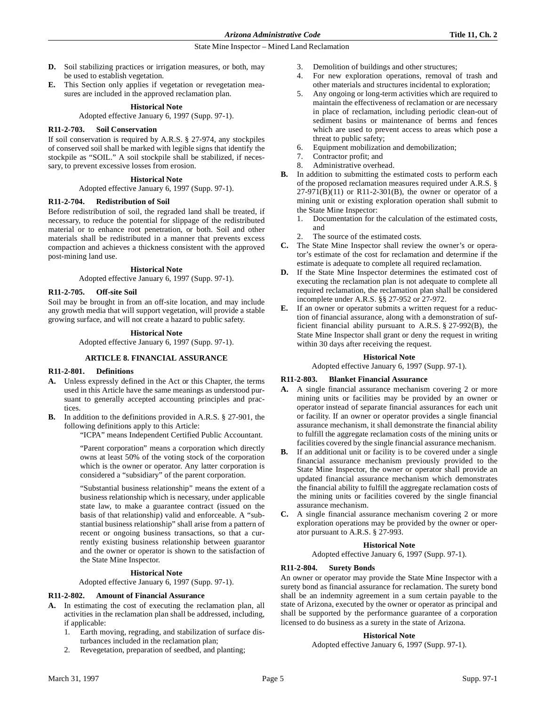- **D.** Soil stabilizing practices or irrigation measures, or both, may be used to establish vegetation.
- **E.** This Section only applies if vegetation or revegetation measures are included in the approved reclamation plan.

### **Historical Note**

Adopted effective January 6, 1997 (Supp. 97-1).

## **R11-2-703. Soil Conservation**

If soil conservation is required by A.R.S. § 27-974, any stockpiles of conserved soil shall be marked with legible signs that identify the stockpile as "SOIL." A soil stockpile shall be stabilized, if necessary, to prevent excessive losses from erosion.

#### **Historical Note**

Adopted effective January 6, 1997 (Supp. 97-1).

## **R11-2-704. Redistribution of Soil**

Before redistribution of soil, the regraded land shall be treated, if necessary, to reduce the potential for slippage of the redistributed material or to enhance root penetration, or both. Soil and other materials shall be redistributed in a manner that prevents excess compaction and achieves a thickness consistent with the approved post-mining land use.

#### **Historical Note**

Adopted effective January 6, 1997 (Supp. 97-1).

## **R11-2-705. Off-site Soil**

Soil may be brought in from an off-site location, and may include any growth media that will support vegetation, will provide a stable growing surface, and will not create a hazard to public safety.

## **Historical Note**

Adopted effective January 6, 1997 (Supp. 97-1).

## **ARTICLE 8. FINANCIAL ASSURANCE**

## **R11-2-801. Definitions**

- **A.** Unless expressly defined in the Act or this Chapter, the terms used in this Article have the same meanings as understood pursuant to generally accepted accounting principles and practices.
- **B.** In addition to the definitions provided in A.R.S. § 27-901, the following definitions apply to this Article:

"ICPA" means Independent Certified Public Accountant.

"Parent corporation" means a corporation which directly owns at least 50% of the voting stock of the corporation which is the owner or operator. Any latter corporation is considered a "subsidiary" of the parent corporation.

"Substantial business relationship" means the extent of a business relationship which is necessary, under applicable state law, to make a guarantee contract (issued on the basis of that relationship) valid and enforceable. A "substantial business relationship" shall arise from a pattern of recent or ongoing business transactions, so that a currently existing business relationship between guarantor and the owner or operator is shown to the satisfaction of the State Mine Inspector.

#### **Historical Note**

Adopted effective January 6, 1997 (Supp. 97-1).

## **R11-2-802. Amount of Financial Assurance**

- **A.** In estimating the cost of executing the reclamation plan, all activities in the reclamation plan shall be addressed, including, if applicable:
	- 1. Earth moving, regrading, and stabilization of surface disturbances included in the reclamation plan;
	- 2. Revegetation, preparation of seedbed, and planting;
- 3. Demolition of buildings and other structures;
- 4. For new exploration operations, removal of trash and other materials and structures incidental to exploration;
- 5. Any ongoing or long-term activities which are required to maintain the effectiveness of reclamation or are necessary in place of reclamation, including periodic clean-out of sediment basins or maintenance of berms and fences which are used to prevent access to areas which pose a threat to public safety;
- 6. Equipment mobilization and demobilization;
- 7. Contractor profit; and
- 8. Administrative overhead.
- **B.** In addition to submitting the estimated costs to perform each of the proposed reclamation measures required under A.R.S. §  $27-971(B)(11)$  or R11-2-301(B), the owner or operator of a mining unit or existing exploration operation shall submit to the State Mine Inspector:
	- 1. Documentation for the calculation of the estimated costs, and
	- 2. The source of the estimated costs.
- **C.** The State Mine Inspector shall review the owner's or operator's estimate of the cost for reclamation and determine if the estimate is adequate to complete all required reclamation.
- **D.** If the State Mine Inspector determines the estimated cost of executing the reclamation plan is not adequate to complete all required reclamation, the reclamation plan shall be considered incomplete under A.R.S. §§ 27-952 or 27-972.
- **E.** If an owner or operator submits a written request for a reduction of financial assurance, along with a demonstration of sufficient financial ability pursuant to A.R.S. § 27-992(B), the State Mine Inspector shall grant or deny the request in writing within 30 days after receiving the request.

## **Historical Note**

Adopted effective January 6, 1997 (Supp. 97-1).

## **R11-2-803. Blanket Financial Assurance**

- **A.** A single financial assurance mechanism covering 2 or more mining units or facilities may be provided by an owner or operator instead of separate financial assurances for each unit or facility. If an owner or operator provides a single financial assurance mechanism, it shall demonstrate the financial ability to fulfill the aggregate reclamation costs of the mining units or facilities covered by the single financial assurance mechanism.
- **B.** If an additional unit or facility is to be covered under a single financial assurance mechanism previously provided to the State Mine Inspector, the owner or operator shall provide an updated financial assurance mechanism which demonstrates the financial ability to fulfill the aggregate reclamation costs of the mining units or facilities covered by the single financial assurance mechanism.
- **C.** A single financial assurance mechanism covering 2 or more exploration operations may be provided by the owner or operator pursuant to A.R.S. § 27-993.

#### **Historical Note**

Adopted effective January 6, 1997 (Supp. 97-1).

## **R11-2-804. Surety Bonds**

An owner or operator may provide the State Mine Inspector with a surety bond as financial assurance for reclamation. The surety bond shall be an indemnity agreement in a sum certain payable to the state of Arizona, executed by the owner or operator as principal and shall be supported by the performance guarantee of a corporation licensed to do business as a surety in the state of Arizona.

#### **Historical Note**

Adopted effective January 6, 1997 (Supp. 97-1).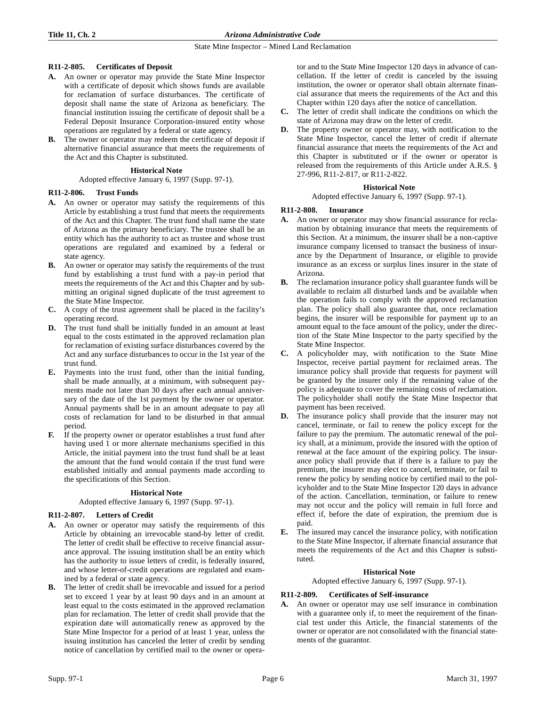# **R11-2-805. Certificates of Deposit**

- **A.** An owner or operator may provide the State Mine Inspector with a certificate of deposit which shows funds are available for reclamation of surface disturbances. The certificate of deposit shall name the state of Arizona as beneficiary. The financial institution issuing the certificate of deposit shall be a Federal Deposit Insurance Corporation-insured entity whose operations are regulated by a federal or state agency.
- **B.** The owner or operator may redeem the certificate of deposit if alternative financial assurance that meets the requirements of the Act and this Chapter is substituted.

# **Historical Note**

Adopted effective January 6, 1997 (Supp. 97-1).

# **R11-2-806. Trust Funds**

- **A.** An owner or operator may satisfy the requirements of this Article by establishing a trust fund that meets the requirements of the Act and this Chapter. The trust fund shall name the state of Arizona as the primary beneficiary. The trustee shall be an entity which has the authority to act as trustee and whose trust operations are regulated and examined by a federal or state agency.
- **B.** An owner or operator may satisfy the requirements of the trust fund by establishing a trust fund with a pay-in period that meets the requirements of the Act and this Chapter and by submitting an original signed duplicate of the trust agreement to the State Mine Inspector.
- **C.** A copy of the trust agreement shall be placed in the facility's operating record.
- **D.** The trust fund shall be initially funded in an amount at least equal to the costs estimated in the approved reclamation plan for reclamation of existing surface disturbances covered by the Act and any surface disturbances to occur in the 1st year of the trust fund.
- **E.** Payments into the trust fund, other than the initial funding, shall be made annually, at a minimum, with subsequent payments made not later than 30 days after each annual anniversary of the date of the 1st payment by the owner or operator. Annual payments shall be in an amount adequate to pay all costs of reclamation for land to be disturbed in that annual period.
- **F.** If the property owner or operator establishes a trust fund after having used 1 or more alternate mechanisms specified in this Article, the initial payment into the trust fund shall be at least the amount that the fund would contain if the trust fund were established initially and annual payments made according to the specifications of this Section.

# **Historical Note**

Adopted effective January 6, 1997 (Supp. 97-1).

# **R11-2-807. Letters of Credit**

- **A.** An owner or operator may satisfy the requirements of this Article by obtaining an irrevocable stand-by letter of credit. The letter of credit shall be effective to receive financial assurance approval. The issuing institution shall be an entity which has the authority to issue letters of credit, is federally insured, and whose letter-of-credit operations are regulated and examined by a federal or state agency.
- **B.** The letter of credit shall be irrevocable and issued for a period set to exceed 1 year by at least 90 days and in an amount at least equal to the costs estimated in the approved reclamation plan for reclamation. The letter of credit shall provide that the expiration date will automatically renew as approved by the State Mine Inspector for a period of at least 1 year, unless the issuing institution has canceled the letter of credit by sending notice of cancellation by certified mail to the owner or opera-

tor and to the State Mine Inspector 120 days in advance of cancellation. If the letter of credit is canceled by the issuing institution, the owner or operator shall obtain alternate financial assurance that meets the requirements of the Act and this Chapter within 120 days after the notice of cancellation.

- **C.** The letter of credit shall indicate the conditions on which the state of Arizona may draw on the letter of credit.
- **D.** The property owner or operator may, with notification to the State Mine Inspector, cancel the letter of credit if alternate financial assurance that meets the requirements of the Act and this Chapter is substituted or if the owner or operator is released from the requirements of this Article under A.R.S. § 27-996, R11-2-817, or R11-2-822.

# **Historical Note**

Adopted effective January 6, 1997 (Supp. 97-1).

# **R11-2-808. Insurance**

- **A.** An owner or operator may show financial assurance for reclamation by obtaining insurance that meets the requirements of this Section. At a minimum, the insurer shall be a non-captive insurance company licensed to transact the business of insurance by the Department of Insurance, or eligible to provide insurance as an excess or surplus lines insurer in the state of Arizona.
- **B.** The reclamation insurance policy shall guarantee funds will be available to reclaim all disturbed lands and be available when the operation fails to comply with the approved reclamation plan. The policy shall also guarantee that, once reclamation begins, the insurer will be responsible for payment up to an amount equal to the face amount of the policy, under the direction of the State Mine Inspector to the party specified by the State Mine Inspector.
- **C.** A policyholder may, with notification to the State Mine Inspector, receive partial payment for reclaimed areas. The insurance policy shall provide that requests for payment will be granted by the insurer only if the remaining value of the policy is adequate to cover the remaining costs of reclamation. The policyholder shall notify the State Mine Inspector that payment has been received.
- **D.** The insurance policy shall provide that the insurer may not cancel, terminate, or fail to renew the policy except for the failure to pay the premium. The automatic renewal of the policy shall, at a minimum, provide the insured with the option of renewal at the face amount of the expiring policy. The insurance policy shall provide that if there is a failure to pay the premium, the insurer may elect to cancel, terminate, or fail to renew the policy by sending notice by certified mail to the policyholder and to the State Mine Inspector 120 days in advance of the action. Cancellation, termination, or failure to renew may not occur and the policy will remain in full force and effect if, before the date of expiration, the premium due is paid.
- **E.** The insured may cancel the insurance policy, with notification to the State Mine Inspector, if alternate financial assurance that meets the requirements of the Act and this Chapter is substituted.

# **Historical Note**

Adopted effective January 6, 1997 (Supp. 97-1).

# **R11-2-809. Certificates of Self-insurance**

**A.** An owner or operator may use self insurance in combination with a guarantee only if, to meet the requirement of the financial test under this Article, the financial statements of the owner or operator are not consolidated with the financial statements of the guarantor.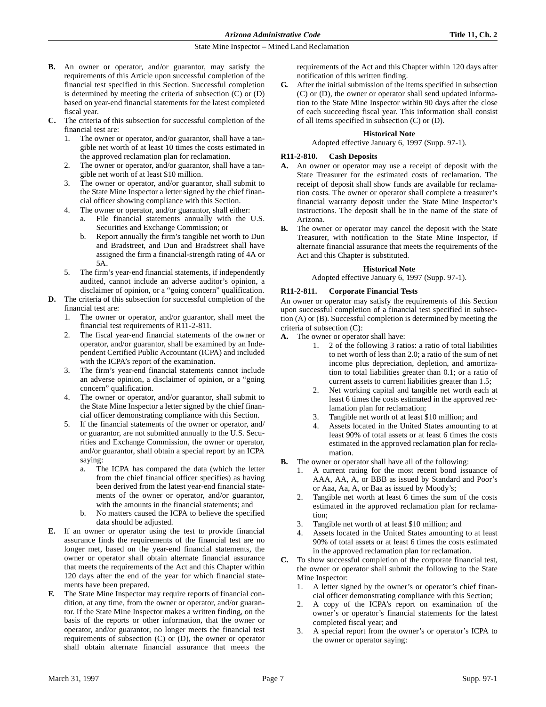- **B.** An owner or operator, and/or guarantor, may satisfy the requirements of this Article upon successful completion of the financial test specified in this Section. Successful completion is determined by meeting the criteria of subsection (C) or (D) based on year-end financial statements for the latest completed fiscal year.
- **C.** The criteria of this subsection for successful completion of the financial test are:
	- 1. The owner or operator, and/or guarantor, shall have a tangible net worth of at least 10 times the costs estimated in the approved reclamation plan for reclamation.
	- The owner or operator, and/or guarantor, shall have a tangible net worth of at least \$10 million.
	- 3. The owner or operator, and/or guarantor, shall submit to the State Mine Inspector a letter signed by the chief financial officer showing compliance with this Section.
	- 4. The owner or operator, and/or guarantor, shall either:
		- a. File financial statements annually with the U.S. Securities and Exchange Commission; or
			- b. Report annually the firm's tangible net worth to Dun and Bradstreet, and Dun and Bradstreet shall have assigned the firm a financial-strength rating of 4A or 5A.
	- 5. The firm's year-end financial statements, if independently audited, cannot include an adverse auditor's opinion, a disclaimer of opinion, or a "going concern" qualification.
- **D.** The criteria of this subsection for successful completion of the financial test are:
	- 1. The owner or operator, and/or guarantor, shall meet the financial test requirements of R11-2-811.
	- The fiscal year-end financial statements of the owner or operator, and/or guarantor, shall be examined by an Independent Certified Public Accountant (ICPA) and included with the ICPA's report of the examination.
	- The firm's year-end financial statements cannot include an adverse opinion, a disclaimer of opinion, or a "going concern" qualification.
	- 4. The owner or operator, and/or guarantor, shall submit to the State Mine Inspector a letter signed by the chief financial officer demonstrating compliance with this Section.
	- If the financial statements of the owner or operator, and/ or guarantor, are not submitted annually to the U.S. Securities and Exchange Commission, the owner or operator, and/or guarantor, shall obtain a special report by an ICPA saying:
		- a. The ICPA has compared the data (which the letter from the chief financial officer specifies) as having been derived from the latest year-end financial statements of the owner or operator, and/or guarantor, with the amounts in the financial statements; and
		- b. No matters caused the ICPA to believe the specified data should be adjusted.
- **E.** If an owner or operator using the test to provide financial assurance finds the requirements of the financial test are no longer met, based on the year-end financial statements, the owner or operator shall obtain alternate financial assurance that meets the requirements of the Act and this Chapter within 120 days after the end of the year for which financial statements have been prepared.
- **F.** The State Mine Inspector may require reports of financial condition, at any time, from the owner or operator, and/or guarantor. If the State Mine Inspector makes a written finding, on the basis of the reports or other information, that the owner or operator, and/or guarantor, no longer meets the financial test requirements of subsection (C) or (D), the owner or operator shall obtain alternate financial assurance that meets the

requirements of the Act and this Chapter within 120 days after notification of this written finding.

**G.** After the initial submission of the items specified in subsection (C) or (D), the owner or operator shall send updated information to the State Mine Inspector within 90 days after the close of each succeeding fiscal year. This information shall consist of all items specified in subsection (C) or (D).

## **Historical Note**

Adopted effective January 6, 1997 (Supp. 97-1).

# **R11-2-810. Cash Deposits**

- **A.** An owner or operator may use a receipt of deposit with the State Treasurer for the estimated costs of reclamation. The receipt of deposit shall show funds are available for reclamation costs. The owner or operator shall complete a treasurer's financial warranty deposit under the State Mine Inspector's instructions. The deposit shall be in the name of the state of Arizona.
- **B.** The owner or operator may cancel the deposit with the State Treasurer, with notification to the State Mine Inspector, if alternate financial assurance that meets the requirements of the Act and this Chapter is substituted.

# **Historical Note**

## Adopted effective January 6, 1997 (Supp. 97-1).

# **R11-2-811. Corporate Financial Tests**

An owner or operator may satisfy the requirements of this Section upon successful completion of a financial test specified in subsection (A) or (B). Successful completion is determined by meeting the criteria of subsection (C):

- **A.** The owner or operator shall have:
	- 1. 2 of the following 3 ratios: a ratio of total liabilities to net worth of less than 2.0; a ratio of the sum of net income plus depreciation, depletion, and amortization to total liabilities greater than 0.1; or a ratio of current assets to current liabilities greater than 1.5;
	- 2. Net working capital and tangible net worth each at least 6 times the costs estimated in the approved reclamation plan for reclamation;
	- 3. Tangible net worth of at least \$10 million; and
	- 4. Assets located in the United States amounting to at least 90% of total assets or at least 6 times the costs estimated in the approved reclamation plan for reclamation.
- **B.** The owner or operator shall have all of the following:
	- 1. A current rating for the most recent bond issuance of AAA, AA, A, or BBB as issued by Standard and Poor's or Aaa, Aa, A, or Baa as issued by Moody's;
	- Tangible net worth at least 6 times the sum of the costs estimated in the approved reclamation plan for reclamation;
	- 3. Tangible net worth of at least \$10 million; and
	- 4. Assets located in the United States amounting to at least 90% of total assets or at least 6 times the costs estimated in the approved reclamation plan for reclamation.
- **C.** To show successful completion of the corporate financial test, the owner or operator shall submit the following to the State Mine Inspector:
	- 1. A letter signed by the owner's or operator's chief financial officer demonstrating compliance with this Section;
	- 2. A copy of the ICPA's report on examination of the owner's or operator's financial statements for the latest completed fiscal year; and
	- 3. A special report from the owner's or operator's ICPA to the owner or operator saying: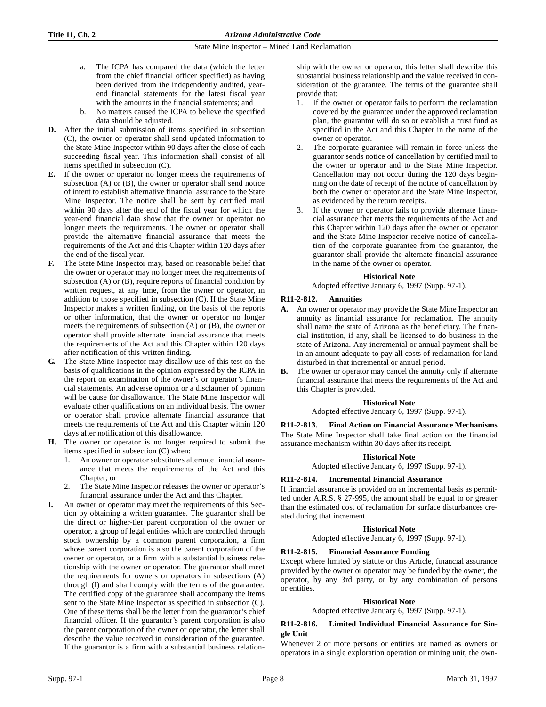- a. The ICPA has compared the data (which the letter from the chief financial officer specified) as having been derived from the independently audited, yearend financial statements for the latest fiscal year with the amounts in the financial statements; and
- b. No matters caused the ICPA to believe the specified data should be adjusted.
- **D.** After the initial submission of items specified in subsection (C), the owner or operator shall send updated information to the State Mine Inspector within 90 days after the close of each succeeding fiscal year. This information shall consist of all items specified in subsection (C).
- **E.** If the owner or operator no longer meets the requirements of subsection (A) or (B), the owner or operator shall send notice of intent to establish alternative financial assurance to the State Mine Inspector. The notice shall be sent by certified mail within 90 days after the end of the fiscal year for which the year-end financial data show that the owner or operator no longer meets the requirements. The owner or operator shall provide the alternative financial assurance that meets the requirements of the Act and this Chapter within 120 days after the end of the fiscal year.
- **F.** The State Mine Inspector may, based on reasonable belief that the owner or operator may no longer meet the requirements of subsection (A) or (B), require reports of financial condition by written request, at any time, from the owner or operator, in addition to those specified in subsection (C). If the State Mine Inspector makes a written finding, on the basis of the reports or other information, that the owner or operator no longer meets the requirements of subsection (A) or (B), the owner or operator shall provide alternate financial assurance that meets the requirements of the Act and this Chapter within 120 days after notification of this written finding.
- **G.** The State Mine Inspector may disallow use of this test on the basis of qualifications in the opinion expressed by the ICPA in the report on examination of the owner's or operator's financial statements. An adverse opinion or a disclaimer of opinion will be cause for disallowance. The State Mine Inspector will evaluate other qualifications on an individual basis. The owner or operator shall provide alternate financial assurance that meets the requirements of the Act and this Chapter within 120 days after notification of this disallowance.
- **H.** The owner or operator is no longer required to submit the items specified in subsection (C) when:
	- 1. An owner or operator substitutes alternate financial assurance that meets the requirements of the Act and this Chapter; or
	- The State Mine Inspector releases the owner or operator's financial assurance under the Act and this Chapter.
- **I.** An owner or operator may meet the requirements of this Section by obtaining a written guarantee. The guarantor shall be the direct or higher-tier parent corporation of the owner or operator, a group of legal entities which are controlled through stock ownership by a common parent corporation, a firm whose parent corporation is also the parent corporation of the owner or operator, or a firm with a substantial business relationship with the owner or operator. The guarantor shall meet the requirements for owners or operators in subsections (A) through (I) and shall comply with the terms of the guarantee. The certified copy of the guarantee shall accompany the items sent to the State Mine Inspector as specified in subsection (C). One of these items shall be the letter from the guarantor's chief financial officer. If the guarantor's parent corporation is also the parent corporation of the owner or operator, the letter shall describe the value received in consideration of the guarantee. If the guarantor is a firm with a substantial business relation-

ship with the owner or operator, this letter shall describe this substantial business relationship and the value received in consideration of the guarantee. The terms of the guarantee shall provide that:

- 1. If the owner or operator fails to perform the reclamation covered by the guarantee under the approved reclamation plan, the guarantor will do so or establish a trust fund as specified in the Act and this Chapter in the name of the owner or operator.
- 2. The corporate guarantee will remain in force unless the guarantor sends notice of cancellation by certified mail to the owner or operator and to the State Mine Inspector. Cancellation may not occur during the 120 days beginning on the date of receipt of the notice of cancellation by both the owner or operator and the State Mine Inspector, as evidenced by the return receipts.
- 3. If the owner or operator fails to provide alternate financial assurance that meets the requirements of the Act and this Chapter within 120 days after the owner or operator and the State Mine Inspector receive notice of cancellation of the corporate guarantee from the guarantor, the guarantor shall provide the alternate financial assurance in the name of the owner or operator.

#### **Historical Note**

Adopted effective January 6, 1997 (Supp. 97-1).

## **R11-2-812. Annuities**

- **A.** An owner or operator may provide the State Mine Inspector an annuity as financial assurance for reclamation. The annuity shall name the state of Arizona as the beneficiary. The financial institution, if any, shall be licensed to do business in the state of Arizona. Any incremental or annual payment shall be in an amount adequate to pay all costs of reclamation for land disturbed in that incremental or annual period.
- **B.** The owner or operator may cancel the annuity only if alternate financial assurance that meets the requirements of the Act and this Chapter is provided.

## **Historical Note**

Adopted effective January 6, 1997 (Supp. 97-1).

**R11-2-813. Final Action on Financial Assurance Mechanisms** The State Mine Inspector shall take final action on the financial assurance mechanism within 30 days after its receipt.

### **Historical Note**

Adopted effective January 6, 1997 (Supp. 97-1).

## **R11-2-814. Incremental Financial Assurance**

If financial assurance is provided on an incremental basis as permitted under A.R.S. § 27-995, the amount shall be equal to or greater than the estimated cost of reclamation for surface disturbances created during that increment.

## **Historical Note**

Adopted effective January 6, 1997 (Supp. 97-1).

## **R11-2-815. Financial Assurance Funding**

Except where limited by statute or this Article, financial assurance provided by the owner or operator may be funded by the owner, the operator, by any 3rd party, or by any combination of persons or entities.

## **Historical Note**

Adopted effective January 6, 1997 (Supp. 97-1).

## **R11-2-816. Limited Individual Financial Assurance for Single Unit**

Whenever 2 or more persons or entities are named as owners or operators in a single exploration operation or mining unit, the own-